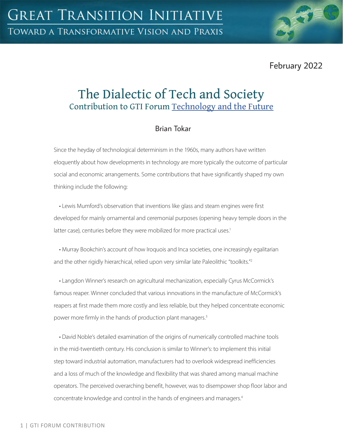February 2022

# The Dialectic of Tech and Society Contribution to GTI Forum [Technology and the Future](https://greattransition.org/gti-forum/tech-and-the-future)

# Brian Tokar

Since the heyday of technological determinism in the 1960s, many authors have written eloquently about how developments in technology are more typically the outcome of particular social and economic arrangements. Some contributions that have significantly shaped my own thinking include the following:

 • Lewis Mumford's observation that inventions like glass and steam engines were first developed for mainly ornamental and ceremonial purposes (opening heavy temple doors in the latter case), centuries before they were mobilized for more practical uses.<sup>1</sup>

 • Murray Bookchin's account of how Iroquois and Inca societies, one increasingly egalitarian and the other rigidly hierarchical, relied upon very similar late Paleolithic "toolkits."2

 • Langdon Winner's research on agricultural mechanization, especially Cyrus McCormick's famous reaper. Winner concluded that various innovations in the manufacture of McCormick's reapers at first made them more costly and less reliable, but they helped concentrate economic power more firmly in the hands of production plant managers.<sup>3</sup>

 • David Noble's detailed examination of the origins of numerically controlled machine tools in the mid-twentieth century. His conclusion is similar to Winner's: to implement this initial step toward industrial automation, manufacturers had to overlook widespread inefficiencies and a loss of much of the knowledge and flexibility that was shared among manual machine operators. The perceived overarching benefit, however, was to disempower shop floor labor and concentrate knowledge and control in the hands of engineers and managers.4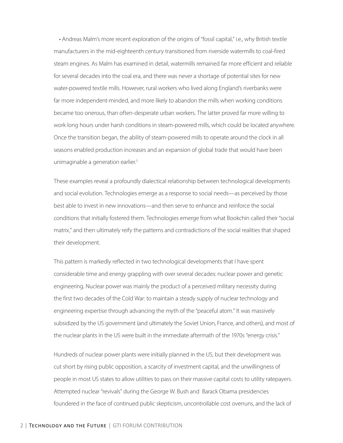• Andreas Malm's more recent exploration of the origins of "fossil capital," i.e., why British textile manufacturers in the mid-eighteenth century transitioned from riverside watermills to coal-fired steam engines. As Malm has examined in detail, watermills remained far more efficient and reliable for several decades into the coal era, and there was never a shortage of potential sites for new water-powered textile mills. However, rural workers who lived along England's riverbanks were far more independent-minded, and more likely to abandon the mills when working conditions became too onerous, than often-desperate urban workers. The latter proved far more willing to work long hours under harsh conditions in steam-powered mills, which could be located anywhere. Once the transition began, the ability of steam-powered mills to operate around the clock in all seasons enabled production increases and an expansion of global trade that would have been unimaginable a generation earlier.<sup>5</sup>

These examples reveal a profoundly dialectical relationship between technological developments and social evolution. Technologies emerge as a response to social needs—as perceived by those best able to invest in new innovations—and then serve to enhance and reinforce the social conditions that initially fostered them. Technologies emerge from what Bookchin called their "social matrix," and then ultimately reify the patterns and contradictions of the social realities that shaped their development.

This pattern is markedly reflected in two technological developments that I have spent considerable time and energy grappling with over several decades: nuclear power and genetic engineering. Nuclear power was mainly the product of a perceived military necessity during the first two decades of the Cold War: to maintain a steady supply of nuclear technology and engineering expertise through advancing the myth of the "peaceful atom." It was massively subsidized by the US government (and ultimately the Soviet Union, France, and others), and most of the nuclear plants in the US were built in the immediate aftermath of the 1970s "energy crisis."

Hundreds of nuclear power plants were initially planned in the US, but their development was cut short by rising public opposition, a scarcity of investment capital, and the unwillingness of people in most US states to allow utilities to pass on their massive capital costs to utility ratepayers. Attempted nuclear "revivals" during the George W. Bush and Barack Obama presidencies foundered in the face of continued public skepticism, uncontrollable cost overruns, and the lack of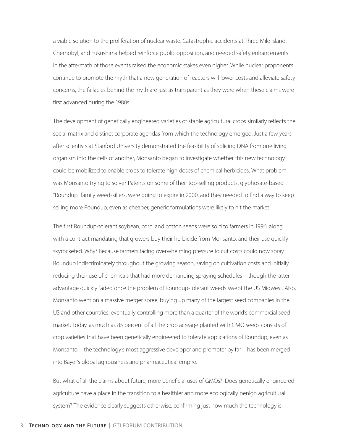a viable solution to the proliferation of nuclear waste. Catastrophic accidents at Three Mile Island, Chernobyl, and Fukushima helped reinforce public opposition, and needed safety enhancements in the aftermath of those events raised the economic stakes even higher. While nuclear proponents continue to promote the myth that a new generation of reactors will lower costs and alleviate safety concerns, the fallacies behind the myth are just as transparent as they were when these claims were first advanced during the 1980s.

The development of genetically engineered varieties of staple agricultural crops similarly reflects the social matrix and distinct corporate agendas from which the technology emerged. Just a few years after scientists at Stanford University demonstrated the feasibility of splicing DNA from one living organism into the cells of another, Monsanto began to investigate whether this new technology could be mobilized to enable crops to tolerate high doses of chemical herbicides. What problem was Monsanto trying to solve? Patents on some of their top-selling products, glyphosate-based "Roundup" family weed-killers, were going to expire in 2000, and they needed to find a way to keep selling more Roundup, even as cheaper, generic formulations were likely to hit the market.

The first Roundup-tolerant soybean, corn, and cotton seeds were sold to farmers in 1996, along with a contract mandating that growers buy their herbicide from Monsanto, and their use quickly skyrocketed. Why? Because farmers facing overwhelming pressure to cut costs could now spray Roundup indiscriminately throughout the growing season, saving on cultivation costs and initially reducing their use of chemicals that had more demanding spraying schedules—though the latter advantage quickly faded once the problem of Roundup-tolerant weeds swept the US Midwest. Also, Monsanto went on a massive merger spree, buying up many of the largest seed companies in the US and other countries, eventually controlling more than a quarter of the world's commercial seed market. Today, as much as 85 percent of all the crop acreage planted with GMO seeds consists of crop varieties that have been genetically engineered to tolerate applications of Roundup, even as Monsanto—the technology's most aggressive developer and promoter by far—has been merged into Bayer's global agribusiness and pharmaceutical empire.

But what of all the claims about future, more beneficial uses of GMOs? Does genetically engineered agriculture have a place in the transition to a healthier and more ecologically benign agricultural system? The evidence clearly suggests otherwise, confirming just how much the technology is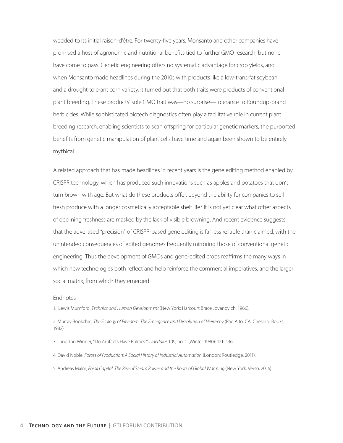wedded to its initial raison-d'être. For twenty-five years, Monsanto and other companies have promised a host of agronomic and nutritional benefits tied to further GMO research, but none have come to pass. Genetic engineering offers no systematic advantage for crop yields, and when Monsanto made headlines during the 2010s with products like a low-trans-fat soybean and a drought-tolerant corn variety, it turned out that both traits were products of conventional plant breeding. These products' sole GMO trait was—no surprise—tolerance to Roundup-brand herbicides. While sophisticated biotech diagnostics often play a facilitative role in current plant breeding research, enabling scientists to scan offspring for particular genetic markers, the purported benefits from genetic manipulation of plant cells have time and again been shown to be entirely mythical.

A related approach that has made headlines in recent years is the gene editing method enabled by CRISPR technology, which has produced such innovations such as apples and potatoes that don't turn brown with age. But what do these products offer, beyond the ability for companies to sell fresh produce with a longer cosmetically acceptable shelf life? It is not yet clear what other aspects of declining freshness are masked by the lack of visible browning. And recent evidence suggests that the advertised "precision" of CRISPR-based gene editing is far less reliable than claimed, with the unintended consequences of edited genomes frequently mirroring those of conventional genetic engineering. Thus the development of GMOs and gene-edited crops reaffirms the many ways in which new technologies both reflect and help reinforce the commercial imperatives, and the larger social matrix, from which they emerged.

#### Endnotes

1. Lewis Mumford, *Technics and Human Development* (New York: Harcourt Brace Jovanovich, 1966).

2. Murray Bookchin, *The Ecology of Freedom: The Emergence and Dissolution of Hierarchy* (Pao Alto, CA: Cheshire Books, 1982).

3. Langdon Winner, "Do Artifacts Have Politics?" *Daedalus* 109, no. 1 (Winter 1980): 121–136.

- 4. David Noble, *Forces of Production: A Social History of Industrial Automation* (London: Routledge, 2011).
- 5. Andreas Malm, *Fossil Capital: The Rise of Steam Power and the Roots of Global Warming* (New York: Verso, 2016).